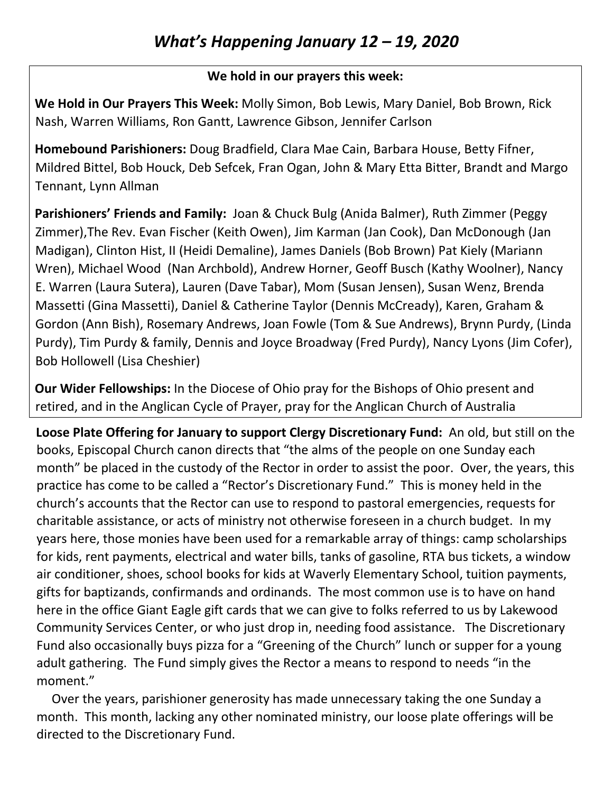## **We hold in our prayers this week:**

**We Hold in Our Prayers This Week:** Molly Simon, Bob Lewis, Mary Daniel, Bob Brown, Rick Nash, Warren Williams, Ron Gantt, Lawrence Gibson, Jennifer Carlson

**Homebound Parishioners:** Doug Bradfield, Clara Mae Cain, Barbara House, Betty Fifner, Mildred Bittel, Bob Houck, Deb Sefcek, Fran Ogan, John & Mary Etta Bitter, Brandt and Margo Tennant, Lynn Allman

**Parishioners' Friends and Family:** Joan & Chuck Bulg (Anida Balmer), Ruth Zimmer (Peggy Zimmer),The Rev. Evan Fischer (Keith Owen), Jim Karman (Jan Cook), Dan McDonough (Jan Madigan), Clinton Hist, II (Heidi Demaline), James Daniels (Bob Brown) Pat Kiely (Mariann Wren), Michael Wood (Nan Archbold), Andrew Horner, Geoff Busch (Kathy Woolner), Nancy E. Warren (Laura Sutera), Lauren (Dave Tabar), Mom (Susan Jensen), Susan Wenz, Brenda Massetti (Gina Massetti), Daniel & Catherine Taylor (Dennis McCready), Karen, Graham & Gordon (Ann Bish), Rosemary Andrews, Joan Fowle (Tom & Sue Andrews), Brynn Purdy, (Linda Purdy), Tim Purdy & family, Dennis and Joyce Broadway (Fred Purdy), Nancy Lyons (Jim Cofer), Bob Hollowell (Lisa Cheshier)

**Our Wider Fellowships:** In the Diocese of Ohio pray for the Bishops of Ohio present and retired, and in the Anglican Cycle of Prayer, pray for the Anglican Church of Australia

**Loose Plate Offering for January to support Clergy Discretionary Fund:** An old, but still on the books, Episcopal Church canon directs that "the alms of the people on one Sunday each month" be placed in the custody of the Rector in order to assist the poor. Over, the years, this practice has come to be called a "Rector's Discretionary Fund." This is money held in the church's accounts that the Rector can use to respond to pastoral emergencies, requests for charitable assistance, or acts of ministry not otherwise foreseen in a church budget. In my years here, those monies have been used for a remarkable array of things: camp scholarships for kids, rent payments, electrical and water bills, tanks of gasoline, RTA bus tickets, a window air conditioner, shoes, school books for kids at Waverly Elementary School, tuition payments, gifts for baptizands, confirmands and ordinands. The most common use is to have on hand here in the office Giant Eagle gift cards that we can give to folks referred to us by Lakewood Community Services Center, or who just drop in, needing food assistance. The Discretionary Fund also occasionally buys pizza for a "Greening of the Church" lunch or supper for a young adult gathering. The Fund simply gives the Rector a means to respond to needs "in the moment."

 Over the years, parishioner generosity has made unnecessary taking the one Sunday a month. This month, lacking any other nominated ministry, our loose plate offerings will be directed to the Discretionary Fund.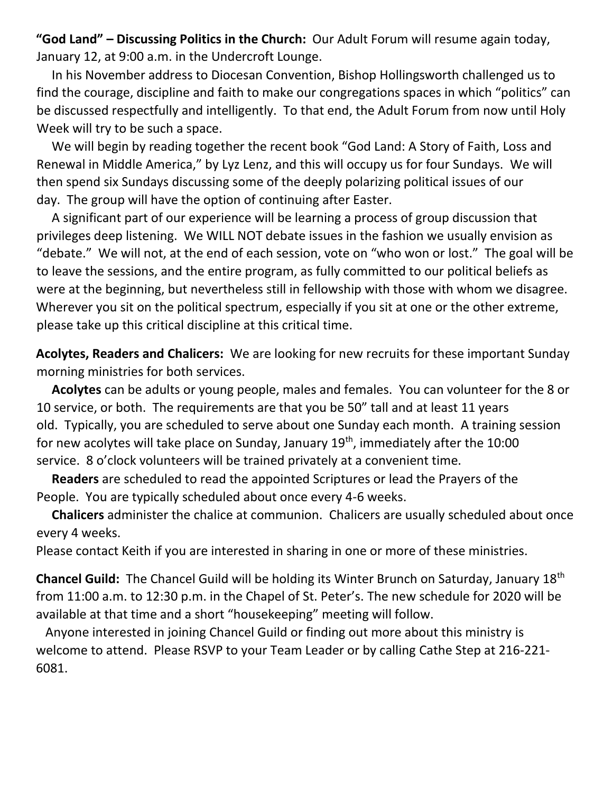**"God Land" – Discussing Politics in the Church:** Our Adult Forum will resume again today, January 12, at 9:00 a.m. in the Undercroft Lounge.

 In his November address to Diocesan Convention, Bishop Hollingsworth challenged us to find the courage, discipline and faith to make our congregations spaces in which "politics" can be discussed respectfully and intelligently. To that end, the Adult Forum from now until Holy Week will try to be such a space.

 We will begin by reading together the recent book "God Land: A Story of Faith, Loss and Renewal in Middle America," by Lyz Lenz, and this will occupy us for four Sundays. We will then spend six Sundays discussing some of the deeply polarizing political issues of our day. The group will have the option of continuing after Easter.

 A significant part of our experience will be learning a process of group discussion that privileges deep listening. We WILL NOT debate issues in the fashion we usually envision as "debate." We will not, at the end of each session, vote on "who won or lost." The goal will be to leave the sessions, and the entire program, as fully committed to our political beliefs as were at the beginning, but nevertheless still in fellowship with those with whom we disagree. Wherever you sit on the political spectrum, especially if you sit at one or the other extreme, please take up this critical discipline at this critical time.

**Acolytes, Readers and Chalicers:** We are looking for new recruits for these important Sunday morning ministries for both services.

 **Acolytes** can be adults or young people, males and females. You can volunteer for the 8 or 10 service, or both. The requirements are that you be 50" tall and at least 11 years old. Typically, you are scheduled to serve about one Sunday each month. A training session for new acolytes will take place on Sunday, January 19<sup>th</sup>, immediately after the 10:00 service. 8 o'clock volunteers will be trained privately at a convenient time.

 **Readers** are scheduled to read the appointed Scriptures or lead the Prayers of the People. You are typically scheduled about once every 4-6 weeks.

 **Chalicers** administer the chalice at communion. Chalicers are usually scheduled about once every 4 weeks.

Please contact Keith if you are interested in sharing in one or more of these ministries.

**Chancel Guild:** The Chancel Guild will be holding its Winter Brunch on Saturday, January 18th from 11:00 a.m. to 12:30 p.m. in the Chapel of St. Peter's. The new schedule for 2020 will be available at that time and a short "housekeeping" meeting will follow.

 Anyone interested in joining Chancel Guild or finding out more about this ministry is welcome to attend. Please RSVP to your Team Leader or by calling Cathe Step at 216-221- 6081.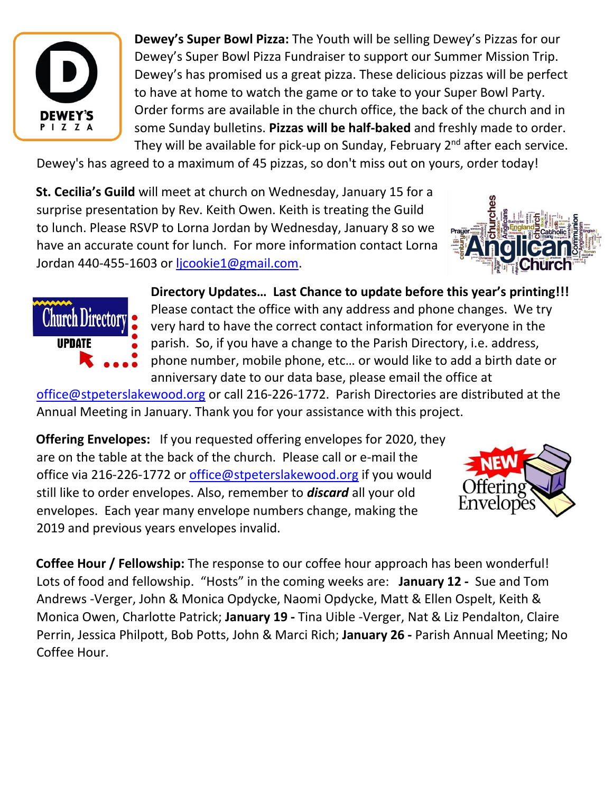

**Dewey's Super Bowl Pizza:** The Youth will be selling Dewey's Pizzas for our Dewey's Super Bowl Pizza Fundraiser to support our Summer Mission Trip. Dewey's has promised us a great pizza. These delicious pizzas will be perfect to have at home to watch the game or to take to your Super Bowl Party. Order forms are available in the church office, the back of the church and in some Sunday bulletins. **Pizzas will be half-baked** and freshly made to order. They will be available for pick-up on Sunday, February 2<sup>nd</sup> after each service.

Dewey's has agreed to a maximum of 45 pizzas, so don't miss out on yours, order today!

**St. Cecilia's Guild** will meet at church on Wednesday, January 15 for a surprise presentation by Rev. Keith Owen. Keith is treating the Guild to lunch. Please RSVP to Lorna Jordan by Wednesday, January 8 so we have an accurate count for lunch. For more information contact Lorna Jordan 440-455-1603 or [ljcookie1@gmail.com.](mailto:ljcookie1@gmail.com)





**Directory Updates… Last Chance to update before this year's printing!!!**  Please contact the office with any address and phone changes. We try very hard to have the correct contact information for everyone in the parish. So, if you have a change to the Parish Directory, i.e. address, phone number, mobile phone, etc… or would like to add a birth date or anniversary date to our data base, please email the office at

[office@stpeterslakewood.org](mailto:office@stpeterslakewood.org) or call 216-226-1772. Parish Directories are distributed at the Annual Meeting in January. Thank you for your assistance with this project.

**Offering Envelopes:** If you requested offering envelopes for 2020, they are on the table at the back of the church. Please call or e-mail the office via 216-226-1772 or [office@stpeterslakewood.org](mailto:office@stpeterslakewood.org) if you would still like to order envelopes. Also, remember to *discard* all your old envelopes. Each year many envelope numbers change, making the 2019 and previous years envelopes invalid.



**Coffee Hour / Fellowship:** The response to our coffee hour approach has been wonderful! Lots of food and fellowship. "Hosts" in the coming weeks are: **January 12 -** Sue and Tom Andrews -Verger, John & Monica Opdycke, Naomi Opdycke, Matt & Ellen Ospelt, Keith & Monica Owen, Charlotte Patrick; **January 19 -** Tina Uible -Verger, Nat & Liz Pendalton, Claire Perrin, Jessica Philpott, Bob Potts, John & Marci Rich; **January 26 -** Parish Annual Meeting; No Coffee Hour.